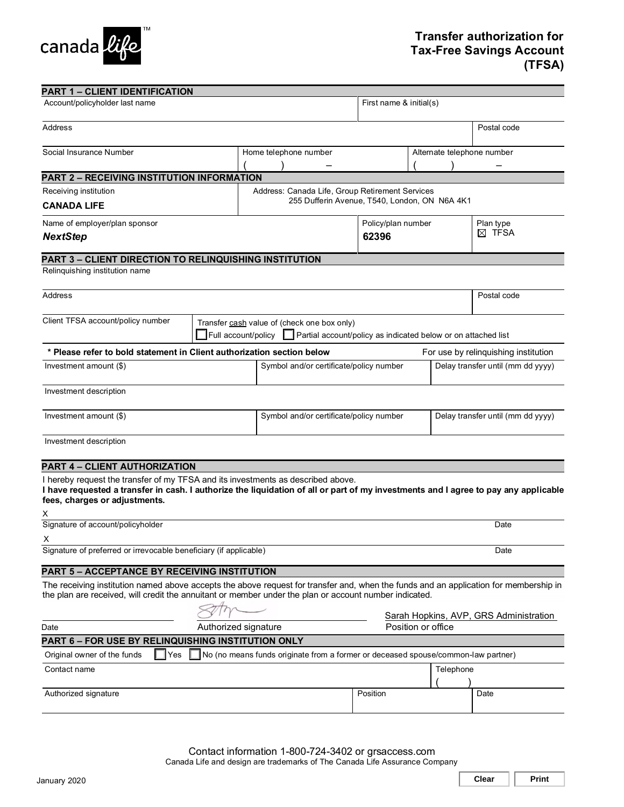

| <b>PART 1 - CLIENT IDENTIFICATION</b>                                                                                                                                                                                                                         |                                                                                                                                     |                                         |                    |                                               |                                        |                                   |                                      |  |
|---------------------------------------------------------------------------------------------------------------------------------------------------------------------------------------------------------------------------------------------------------------|-------------------------------------------------------------------------------------------------------------------------------------|-----------------------------------------|--------------------|-----------------------------------------------|----------------------------------------|-----------------------------------|--------------------------------------|--|
| Account/policyholder last name                                                                                                                                                                                                                                |                                                                                                                                     |                                         |                    | First name & initial(s)                       |                                        |                                   |                                      |  |
| Address                                                                                                                                                                                                                                                       |                                                                                                                                     |                                         |                    |                                               |                                        |                                   | Postal code                          |  |
| Social Insurance Number                                                                                                                                                                                                                                       |                                                                                                                                     | Home telephone number                   |                    |                                               |                                        |                                   | Alternate telephone number           |  |
|                                                                                                                                                                                                                                                               |                                                                                                                                     |                                         |                    |                                               |                                        |                                   |                                      |  |
| PART 2 - RECEIVING INSTITUTION INFORMATION                                                                                                                                                                                                                    |                                                                                                                                     |                                         |                    |                                               |                                        |                                   |                                      |  |
| Receiving institution                                                                                                                                                                                                                                         | Address: Canada Life, Group Retirement Services                                                                                     |                                         |                    |                                               |                                        |                                   |                                      |  |
| <b>CANADA LIFE</b>                                                                                                                                                                                                                                            |                                                                                                                                     |                                         |                    | 255 Dufferin Avenue, T540, London, ON N6A 4K1 |                                        |                                   |                                      |  |
| Name of employer/plan sponsor                                                                                                                                                                                                                                 |                                                                                                                                     |                                         | Policy/plan number |                                               |                                        | Plan type                         |                                      |  |
| <b>NextStep</b>                                                                                                                                                                                                                                               |                                                                                                                                     |                                         | 62396              |                                               |                                        | $\boxtimes$ TFSA                  |                                      |  |
| PART 3 - CLIENT DIRECTION TO RELINQUISHING INSTITUTION                                                                                                                                                                                                        |                                                                                                                                     |                                         |                    |                                               |                                        |                                   |                                      |  |
| Relinquishing institution name                                                                                                                                                                                                                                |                                                                                                                                     |                                         |                    |                                               |                                        |                                   |                                      |  |
| Address                                                                                                                                                                                                                                                       |                                                                                                                                     |                                         |                    |                                               |                                        | Postal code                       |                                      |  |
| Client TFSA account/policy number                                                                                                                                                                                                                             | Transfer cash value of (check one box only)<br>Full account/policy<br>Partial account/policy as indicated below or on attached list |                                         |                    |                                               |                                        |                                   |                                      |  |
| * Please refer to bold statement in Client authorization section below                                                                                                                                                                                        |                                                                                                                                     |                                         |                    |                                               |                                        |                                   | For use by relinquishing institution |  |
| Investment amount (\$)                                                                                                                                                                                                                                        |                                                                                                                                     | Symbol and/or certificate/policy number |                    |                                               |                                        | Delay transfer until (mm dd yyyy) |                                      |  |
| Investment description                                                                                                                                                                                                                                        |                                                                                                                                     |                                         |                    |                                               |                                        |                                   |                                      |  |
| Investment amount (\$)                                                                                                                                                                                                                                        |                                                                                                                                     | Symbol and/or certificate/policy number |                    |                                               | Delay transfer until (mm dd yyyy)      |                                   |                                      |  |
| Investment description                                                                                                                                                                                                                                        |                                                                                                                                     |                                         |                    |                                               |                                        |                                   |                                      |  |
| PART 4 - CLIENT AUTHORIZATION                                                                                                                                                                                                                                 |                                                                                                                                     |                                         |                    |                                               |                                        |                                   |                                      |  |
| I hereby request the transfer of my TFSA and its investments as described above.<br>I have requested a transfer in cash. I authorize the liquidation of all or part of my investments and I agree to pay any applicable<br>fees, charges or adjustments.<br>х |                                                                                                                                     |                                         |                    |                                               |                                        |                                   |                                      |  |
| Signature of account/policyholder<br>Date                                                                                                                                                                                                                     |                                                                                                                                     |                                         |                    |                                               |                                        |                                   |                                      |  |
| х<br>Signature of preferred or irrevocable beneficiary (if applicable)<br>Date                                                                                                                                                                                |                                                                                                                                     |                                         |                    |                                               |                                        |                                   |                                      |  |
|                                                                                                                                                                                                                                                               |                                                                                                                                     |                                         |                    |                                               |                                        |                                   |                                      |  |
| <b>PART 5 - ACCEPTANCE BY RECEIVING INSTITUTION</b>                                                                                                                                                                                                           |                                                                                                                                     |                                         |                    |                                               |                                        |                                   |                                      |  |
| The receiving institution named above accepts the above request for transfer and, when the funds and an application for membership in<br>the plan are received, will credit the annuitant or member under the plan or account number indicated.               |                                                                                                                                     |                                         |                    |                                               |                                        |                                   |                                      |  |
|                                                                                                                                                                                                                                                               |                                                                                                                                     |                                         |                    |                                               | Sarah Hopkins, AVP, GRS Administration |                                   |                                      |  |
| Authorized signature<br>Date                                                                                                                                                                                                                                  |                                                                                                                                     |                                         |                    | Position or office                            |                                        |                                   |                                      |  |
| PART 6 - FOR USE BY RELINQUISHING INSTITUTION ONLY                                                                                                                                                                                                            |                                                                                                                                     |                                         |                    |                                               |                                        |                                   |                                      |  |
| No (no means funds originate from a former or deceased spouse/common-law partner)<br>Original owner of the funds<br>$\Box$ Yes                                                                                                                                |                                                                                                                                     |                                         |                    |                                               |                                        |                                   |                                      |  |
| Contact name                                                                                                                                                                                                                                                  |                                                                                                                                     |                                         |                    |                                               | Telephone                              |                                   |                                      |  |
| Authorized signature                                                                                                                                                                                                                                          |                                                                                                                                     |                                         | Position           |                                               |                                        | Date                              |                                      |  |

**Clear** | **Print**